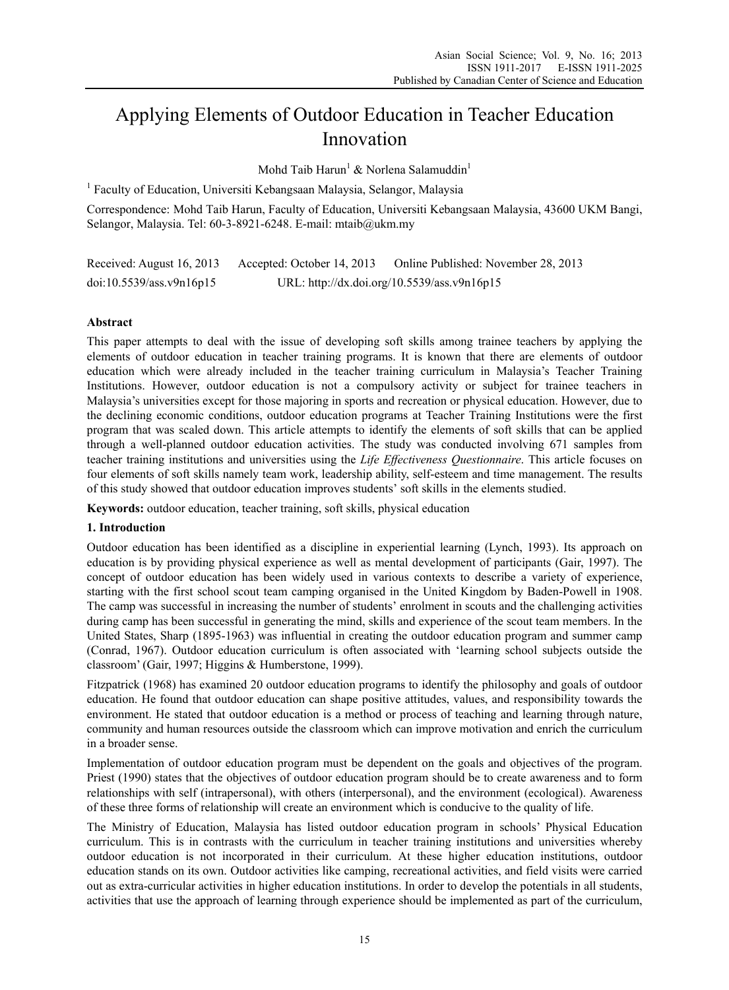# Applying Elements of Outdoor Education in Teacher Education Innovation

Mohd Taib Harun<sup>1</sup> & Norlena Salamuddin<sup>1</sup>

<sup>1</sup> Faculty of Education, Universiti Kebangsaan Malaysia, Selangor, Malaysia

Correspondence: Mohd Taib Harun, Faculty of Education, Universiti Kebangsaan Malaysia, 43600 UKM Bangi, Selangor, Malaysia. Tel: 60-3-8921-6248. E-mail: mtaib@ukm.my

Received: August 16, 2013 Accepted: October 14, 2013 Online Published: November 28, 2013 doi:10.5539/ass.v9n16p15 URL: http://dx.doi.org/10.5539/ass.v9n16p15

# **Abstract**

This paper attempts to deal with the issue of developing soft skills among trainee teachers by applying the elements of outdoor education in teacher training programs. It is known that there are elements of outdoor education which were already included in the teacher training curriculum in Malaysia's Teacher Training Institutions. However, outdoor education is not a compulsory activity or subject for trainee teachers in Malaysia's universities except for those majoring in sports and recreation or physical education. However, due to the declining economic conditions, outdoor education programs at Teacher Training Institutions were the first program that was scaled down. This article attempts to identify the elements of soft skills that can be applied through a well-planned outdoor education activities. The study was conducted involving 671 samples from teacher training institutions and universities using the *Life Effectiveness Questionnaire*. This article focuses on four elements of soft skills namely team work, leadership ability, self-esteem and time management. The results of this study showed that outdoor education improves students' soft skills in the elements studied.

**Keywords:** outdoor education, teacher training, soft skills, physical education

#### **1. Introduction**

Outdoor education has been identified as a discipline in experiential learning (Lynch, 1993). Its approach on education is by providing physical experience as well as mental development of participants (Gair, 1997). The concept of outdoor education has been widely used in various contexts to describe a variety of experience, starting with the first school scout team camping organised in the United Kingdom by Baden-Powell in 1908. The camp was successful in increasing the number of students' enrolment in scouts and the challenging activities during camp has been successful in generating the mind, skills and experience of the scout team members. In the United States, Sharp (1895-1963) was influential in creating the outdoor education program and summer camp (Conrad, 1967). Outdoor education curriculum is often associated with 'learning school subjects outside the classroom' (Gair, 1997; Higgins & Humberstone, 1999).

Fitzpatrick (1968) has examined 20 outdoor education programs to identify the philosophy and goals of outdoor education. He found that outdoor education can shape positive attitudes, values, and responsibility towards the environment. He stated that outdoor education is a method or process of teaching and learning through nature, community and human resources outside the classroom which can improve motivation and enrich the curriculum in a broader sense.

Implementation of outdoor education program must be dependent on the goals and objectives of the program. Priest (1990) states that the objectives of outdoor education program should be to create awareness and to form relationships with self (intrapersonal), with others (interpersonal), and the environment (ecological). Awareness of these three forms of relationship will create an environment which is conducive to the quality of life.

The Ministry of Education, Malaysia has listed outdoor education program in schools' Physical Education curriculum. This is in contrasts with the curriculum in teacher training institutions and universities whereby outdoor education is not incorporated in their curriculum. At these higher education institutions, outdoor education stands on its own. Outdoor activities like camping, recreational activities, and field visits were carried out as extra-curricular activities in higher education institutions. In order to develop the potentials in all students, activities that use the approach of learning through experience should be implemented as part of the curriculum,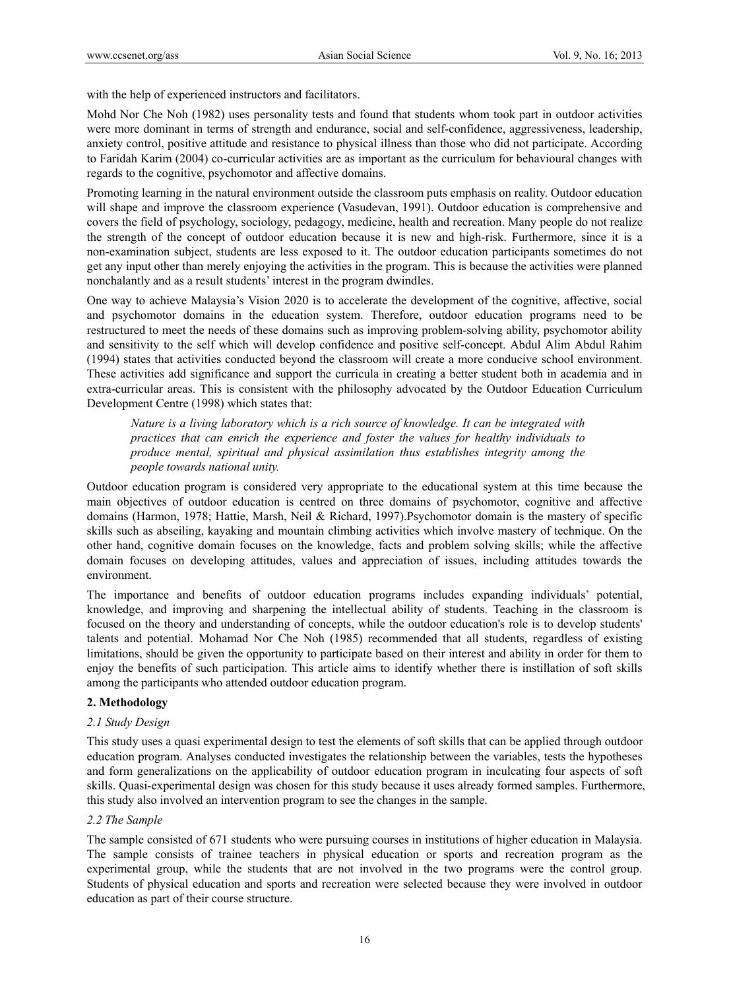with the help of experienced instructors and facilitators.

Mohd Nor Che Noh (1982) uses personality tests and found that students whom took part in outdoor activities were more dominant in terms of strength and endurance, social and self-confidence, aggressiveness, leadership, anxiety control, positive attitude and resistance to physical illness than those who did not participate. According to Faridah Karim (2004) co-curricular activities are as important as the curriculum for behavioural changes with regards to the cognitive, psychomotor and affective domains.

Promoting learning in the natural environment outside the classroom puts emphasis on reality. Outdoor education will shape and improve the classroom experience (Vasudevan, 1991). Outdoor education is comprehensive and covers the field of psychology, sociology, pedagogy, medicine, health and recreation. Many people do not realize the strength of the concept of outdoor education because it is new and high-risk. Furthermore, since it is a non-examination subject, students are less exposed to it. The outdoor education participants sometimes do not get any input other than merely enjoying the activities in the program. This is because the activities were planned nonchalantly and as a result students' interest in the program dwindles.

One way to achieve Malaysia's Vision 2020 is to accelerate the development of the cognitive, affective, social and psychomotor domains in the education system. Therefore, outdoor education programs need to be restructured to meet the needs of these domains such as improving problem-solving ability, psychomotor ability and sensitivity to the self which will develop confidence and positive self-concept. Abdul Alim Abdul Rahim (1994) states that activities conducted beyond the classroom will create a more conducive school environment. These activities add significance and support the curricula in creating a better student both in academia and in extra-curricular areas. This is consistent with the philosophy advocated by the Outdoor Education Curriculum Development Centre (1998) which states that:

*Nature is a living laboratory which is a rich source of knowledge. It can be integrated with practices that can enrich the experience and foster the values for healthy individuals to produce mental, spiritual and physical assimilation thus establishes integrity among the people towards national unity.*

Outdoor education program is considered very appropriate to the educational system at this time because the main objectives of outdoor education is centred on three domains of psychomotor, cognitive and affective domains (Harmon, 1978; Hattie, Marsh, Neil & Richard, 1997).Psychomotor domain is the mastery of specific skills such as abseiling, kayaking and mountain climbing activities which involve mastery of technique. On the other hand, cognitive domain focuses on the knowledge, facts and problem solving skills; while the affective domain focuses on developing attitudes, values and appreciation of issues, including attitudes towards the environment.

The importance and benefits of outdoor education programs includes expanding individuals' potential, knowledge, and improving and sharpening the intellectual ability of students. Teaching in the classroom is focused on the theory and understanding of concepts, while the outdoor education's role is to develop students' talents and potential. Mohamad Nor Che Noh (1985) recommended that all students, regardless of existing limitations, should be given the opportunity to participate based on their interest and ability in order for them to enjoy the benefits of such participation. This article aims to identify whether there is instillation of soft skills among the participants who attended outdoor education program.

#### **2. Methodology**

#### *2.1 Study Design*

This study uses a quasi experimental design to test the elements of soft skills that can be applied through outdoor education program. Analyses conducted investigates the relationship between the variables, tests the hypotheses and form generalizations on the applicability of outdoor education program in inculcating four aspects of soft skills. Quasi-experimental design was chosen for this study because it uses already formed samples. Furthermore, this study also involved an intervention program to see the changes in the sample.

#### *2.2 The Sample*

The sample consisted of 671 students who were pursuing courses in institutions of higher education in Malaysia. The sample consists of trainee teachers in physical education or sports and recreation program as the experimental group, while the students that are not involved in the two programs were the control group. Students of physical education and sports and recreation were selected because they were involved in outdoor education as part of their course structure.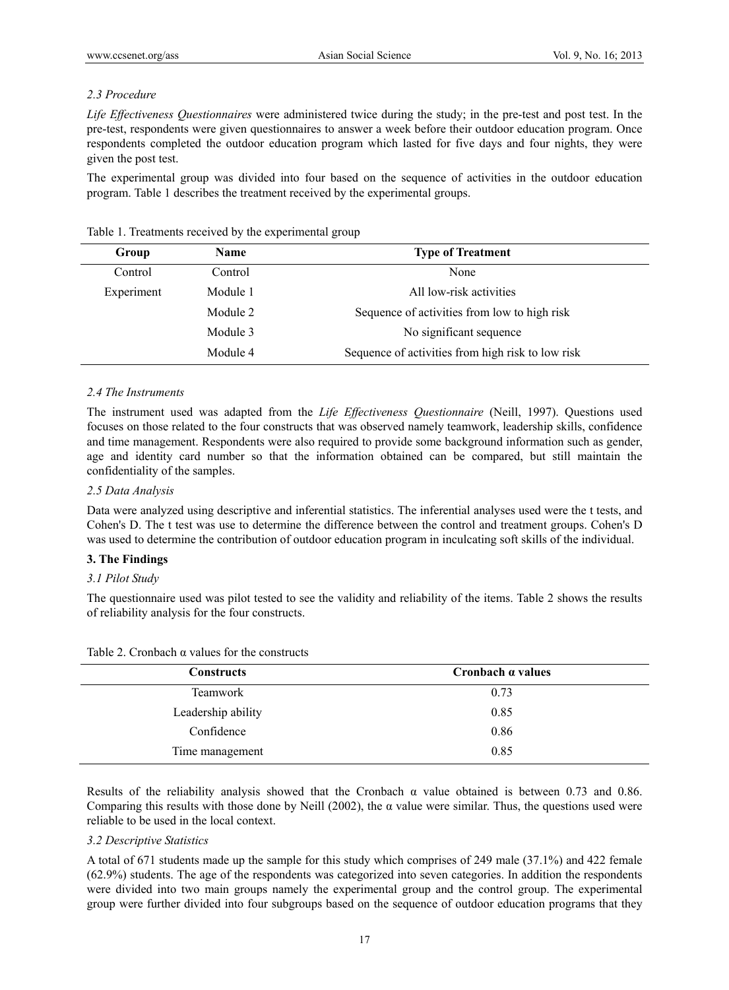# *2.3 Procedure*

*Life Effectiveness Questionnaires* were administered twice during the study; in the pre-test and post test. In the pre-test, respondents were given questionnaires to answer a week before their outdoor education program. Once respondents completed the outdoor education program which lasted for five days and four nights, they were given the post test.

The experimental group was divided into four based on the sequence of activities in the outdoor education program. Table 1 describes the treatment received by the experimental groups.

| Group      | <b>Name</b> | <b>Type of Treatment</b>                          |
|------------|-------------|---------------------------------------------------|
| Control    | Control     | None                                              |
| Experiment | Module 1    | All low-risk activities                           |
|            | Module 2    | Sequence of activities from low to high risk      |
|            | Module 3    | No significant sequence                           |
|            | Module 4    | Sequence of activities from high risk to low risk |

### Table 1. Treatments received by the experimental group

## *2.4 The Instruments*

The instrument used was adapted from the *Life Effectiveness Questionnaire* (Neill, 1997). Questions used focuses on those related to the four constructs that was observed namely teamwork, leadership skills, confidence and time management. Respondents were also required to provide some background information such as gender, age and identity card number so that the information obtained can be compared, but still maintain the confidentiality of the samples.

### *2.5 Data Analysis*

Data were analyzed using descriptive and inferential statistics. The inferential analyses used were the t tests, and Cohen's D. The t test was use to determine the difference between the control and treatment groups. Cohen's D was used to determine the contribution of outdoor education program in inculcating soft skills of the individual.

# **3. The Findings**

#### *3.1 Pilot Study*

The questionnaire used was pilot tested to see the validity and reliability of the items. Table 2 shows the results of reliability analysis for the four constructs.

| <b>Constructs</b>  | Cronbach a values |
|--------------------|-------------------|
| Teamwork           | 0.73              |
| Leadership ability | 0.85              |
| Confidence         | 0.86              |
| Time management    | 0.85              |

Table 2. Cronbach  $\alpha$  values for the constructs

Results of the reliability analysis showed that the Cronbach  $\alpha$  value obtained is between 0.73 and 0.86. Comparing this results with those done by Neill (2002), the α value were similar. Thus, the questions used were reliable to be used in the local context.

#### *3.2 Descriptive Statistics*

A total of 671 students made up the sample for this study which comprises of 249 male (37.1%) and 422 female (62.9%) students. The age of the respondents was categorized into seven categories. In addition the respondents were divided into two main groups namely the experimental group and the control group. The experimental group were further divided into four subgroups based on the sequence of outdoor education programs that they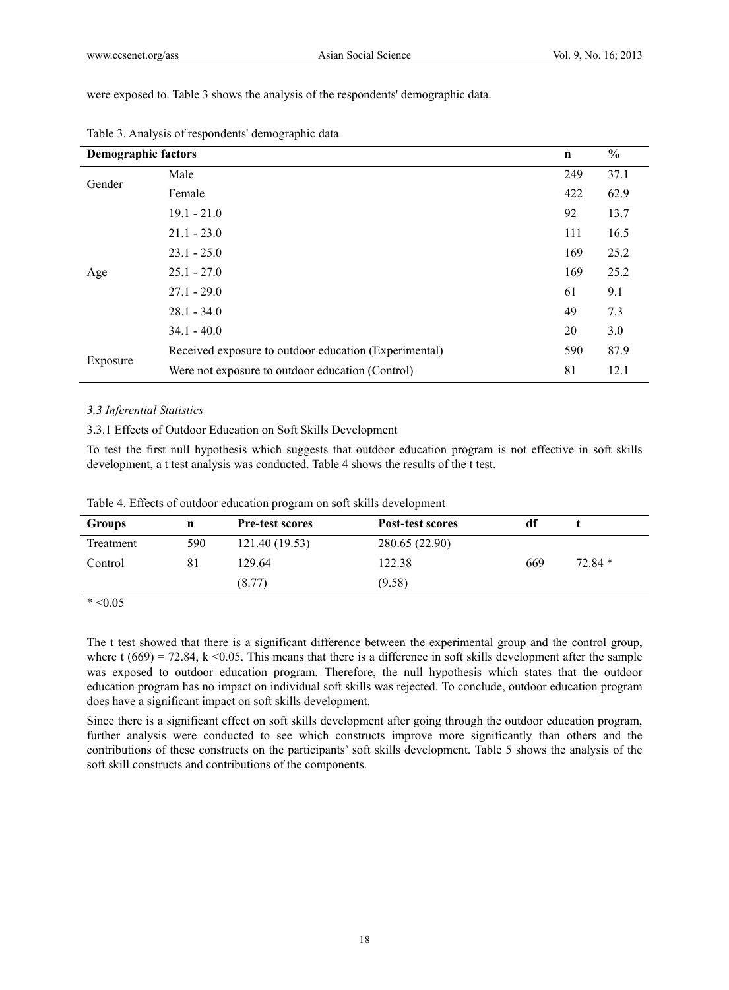were exposed to. Table 3 shows the analysis of the respondents' demographic data.

| <b>Demographic factors</b> | $\mathbf n$                                           | $\frac{0}{0}$ |      |
|----------------------------|-------------------------------------------------------|---------------|------|
| Gender                     | Male                                                  | 249           | 37.1 |
|                            | Female                                                | 422           | 62.9 |
|                            | $19.1 - 21.0$                                         | 92            | 13.7 |
| Age                        | $21.1 - 23.0$                                         | 111           | 16.5 |
|                            | $23.1 - 25.0$                                         | 169           | 25.2 |
|                            | $25.1 - 27.0$                                         | 169           | 25.2 |
|                            | $27.1 - 29.0$                                         | 61            | 9.1  |
|                            | $28.1 - 34.0$                                         | 49            | 7.3  |
|                            | $34.1 - 40.0$                                         | 20            | 3.0  |
|                            | Received exposure to outdoor education (Experimental) |               | 87.9 |
| Exposure                   | Were not exposure to outdoor education (Control)      | 81            | 12.1 |

Table 3. Analysis of respondents' demographic data

#### *3.3 Inferential Statistics*

#### 3.3.1 Effects of Outdoor Education on Soft Skills Development

To test the first null hypothesis which suggests that outdoor education program is not effective in soft skills development, a t test analysis was conducted. Table 4 shows the results of the t test.

|  |  | Table 4. Effects of outdoor education program on soft skills development |  |  |  |
|--|--|--------------------------------------------------------------------------|--|--|--|
|  |  |                                                                          |  |  |  |

| <b>Groups</b> | n   | <b>Pre-test scores</b> | Post-test scores | df  |          |
|---------------|-----|------------------------|------------------|-----|----------|
| Treatment     | 590 | 121.40 (19.53)         | 280.65 (22.90)   |     |          |
| Control       | 81  | 129.64                 | 122.38           | 669 | $72.84*$ |
|               |     | (8.77)                 | (9.58)           |     |          |

 $* < 0.05$ 

The t test showed that there is a significant difference between the experimental group and the control group, where t  $(669) = 72.84$ , k <0.05. This means that there is a difference in soft skills development after the sample was exposed to outdoor education program. Therefore, the null hypothesis which states that the outdoor education program has no impact on individual soft skills was rejected. To conclude, outdoor education program does have a significant impact on soft skills development.

Since there is a significant effect on soft skills development after going through the outdoor education program, further analysis were conducted to see which constructs improve more significantly than others and the contributions of these constructs on the participants' soft skills development. Table 5 shows the analysis of the soft skill constructs and contributions of the components.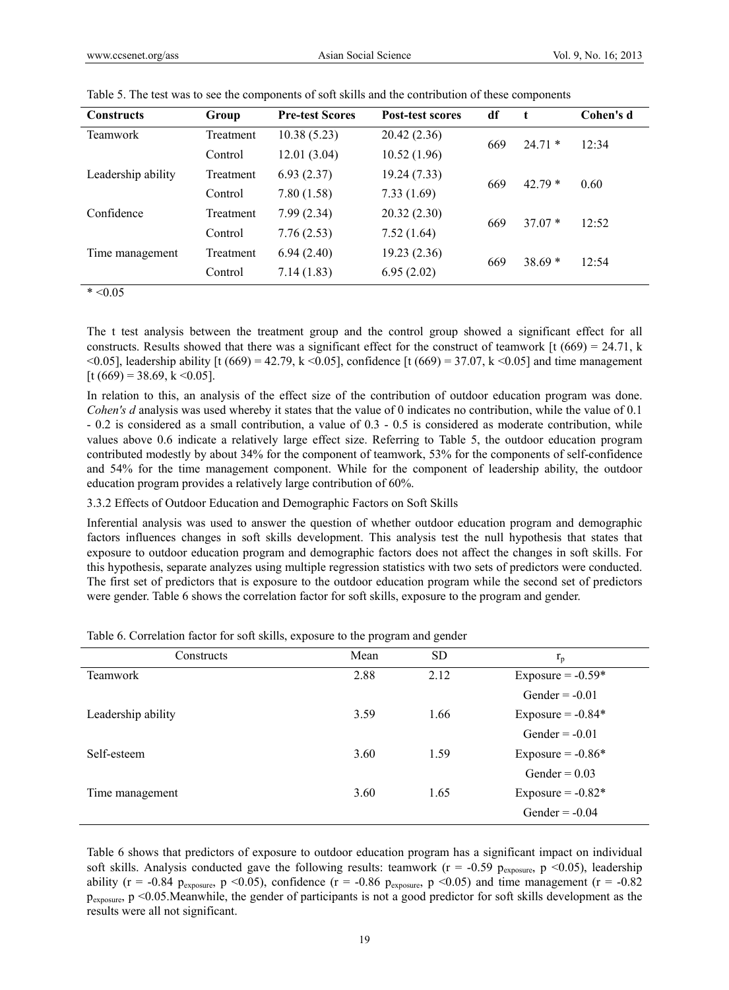| <b>Constructs</b>  | Group     | <b>Pre-test Scores</b> | <b>Post-test scores</b> | df  | t        | Cohen's d |
|--------------------|-----------|------------------------|-------------------------|-----|----------|-----------|
| Teamwork           | Treatment | 10.38(5.23)            | 20.42 (2.36)            | 669 | $24.71*$ | 12:34     |
|                    | Control   | 12.01(3.04)            | 10.52(1.96)             |     |          |           |
| Leadership ability | Treatment | 6.93(2.37)             | 19.24 (7.33)            | 669 | $42.79*$ | 0.60      |
|                    | Control   | 7.80(1.58)             | 7.33(1.69)              |     |          |           |
| Confidence         | Treatment | 7.99(2.34)             | 20.32(2.30)             | 669 | $37.07*$ | 12:52     |
|                    | Control   | 7.76(2.53)             | 7.52(1.64)              |     |          |           |
| Time management    | Treatment | 6.94(2.40)             | 19.23(2.36)             | 669 | $38.69*$ | 12:54     |
|                    | Control   | 7.14(1.83)             | 6.95(2.02)              |     |          |           |

| Table 5. The test was to see the components of soft skills and the contribution of these components |  |  |
|-----------------------------------------------------------------------------------------------------|--|--|
|                                                                                                     |  |  |

 $* < 0.05$ 

The t test analysis between the treatment group and the control group showed a significant effect for all constructs. Results showed that there was a significant effect for the construct of teamwork  $\lceil t (669) = 24.71$ , k <0.05], leadership ability [t (669) = 42.79, k <0.05], confidence [t (669) = 37.07, k <0.05] and time management  $[t (669) = 38.69, k < 0.05]$ .

In relation to this, an analysis of the effect size of the contribution of outdoor education program was done. *Cohen's d* analysis was used whereby it states that the value of 0 indicates no contribution, while the value of 0.1 - 0.2 is considered as a small contribution, a value of 0.3 - 0.5 is considered as moderate contribution, while values above 0.6 indicate a relatively large effect size. Referring to Table 5, the outdoor education program contributed modestly by about 34% for the component of teamwork, 53% for the components of self-confidence and 54% for the time management component. While for the component of leadership ability, the outdoor education program provides a relatively large contribution of 60%.

3.3.2 Effects of Outdoor Education and Demographic Factors on Soft Skills

Inferential analysis was used to answer the question of whether outdoor education program and demographic factors influences changes in soft skills development. This analysis test the null hypothesis that states that exposure to outdoor education program and demographic factors does not affect the changes in soft skills. For this hypothesis, separate analyzes using multiple regression statistics with two sets of predictors were conducted. The first set of predictors that is exposure to the outdoor education program while the second set of predictors were gender. Table 6 shows the correlation factor for soft skills, exposure to the program and gender.

| Constructs         | Mean | <b>SD</b> | $r_{p}$             |
|--------------------|------|-----------|---------------------|
| Teamwork           | 2.88 | 2.12      | Exposure = $-0.59*$ |
|                    |      |           | Gender $= -0.01$    |
| Leadership ability | 3.59 | 1.66      | Exposure $= -0.84*$ |
|                    |      |           | Gender = $-0.01$    |
| Self-esteem        | 3.60 | 1.59      | Exposure = $-0.86*$ |
|                    |      |           | Gender = $0.03$     |
| Time management    | 3.60 | 1.65      | Exposure = $-0.82*$ |
|                    |      |           | Gender = $-0.04$    |

Table 6. Correlation factor for soft skills, exposure to the program and gender

Table 6 shows that predictors of exposure to outdoor education program has a significant impact on individual soft skills. Analysis conducted gave the following results: teamwork ( $r = -0.59$  p<sub>exposure</sub>, p <0.05), leadership ability (r = -0.84 p<sub>exposure</sub>, p <0.05), confidence (r = -0.86 p<sub>exposure</sub>, p <0.05) and time management (r = -0.82 pexposure, p <0.05.Meanwhile, the gender of participants is not a good predictor for soft skills development as the results were all not significant.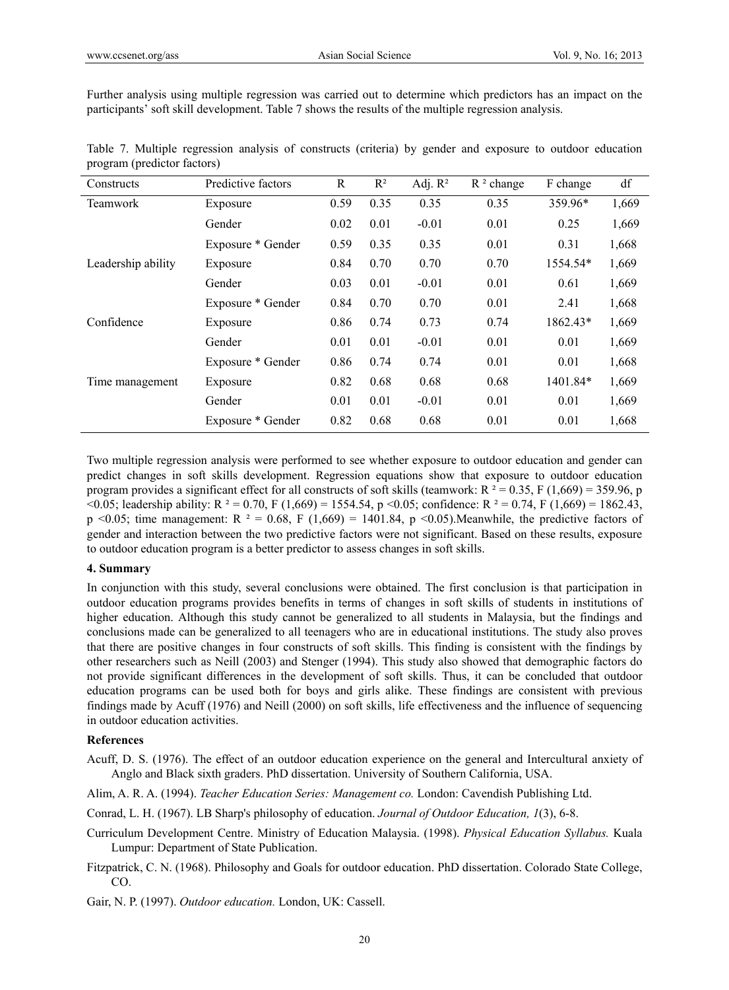Further analysis using multiple regression was carried out to determine which predictors has an impact on the participants' soft skill development. Table 7 shows the results of the multiple regression analysis.

| Constructs         | Predictive factors | R    | $R^2$ | Adj. $R^2$ | $R^2$ change | F change | df    |
|--------------------|--------------------|------|-------|------------|--------------|----------|-------|
| <b>Teamwork</b>    | Exposure           | 0.59 | 0.35  | 0.35       | 0.35         | 359.96*  | 1,669 |
|                    | Gender             | 0.02 | 0.01  | $-0.01$    | 0.01         | 0.25     | 1,669 |
|                    | Exposure * Gender  | 0.59 | 0.35  | 0.35       | 0.01         | 0.31     | 1,668 |
| Leadership ability | Exposure           | 0.84 | 0.70  | 0.70       | 0.70         | 1554.54* | 1,669 |
|                    | Gender             | 0.03 | 0.01  | $-0.01$    | 0.01         | 0.61     | 1,669 |
|                    | Exposure * Gender  | 0.84 | 0.70  | 0.70       | 0.01         | 2.41     | 1,668 |
| Confidence         | Exposure           | 0.86 | 0.74  | 0.73       | 0.74         | 1862.43* | 1,669 |
|                    | Gender             | 0.01 | 0.01  | $-0.01$    | 0.01         | 0.01     | 1,669 |
|                    | Exposure * Gender  | 0.86 | 0.74  | 0.74       | 0.01         | 0.01     | 1,668 |
| Time management    | Exposure           | 0.82 | 0.68  | 0.68       | 0.68         | 1401.84* | 1,669 |
|                    | Gender             | 0.01 | 0.01  | $-0.01$    | 0.01         | 0.01     | 1,669 |
|                    | Exposure * Gender  | 0.82 | 0.68  | 0.68       | 0.01         | 0.01     | 1,668 |

Table 7. Multiple regression analysis of constructs (criteria) by gender and exposure to outdoor education program (predictor factors)

Two multiple regression analysis were performed to see whether exposure to outdoor education and gender can predict changes in soft skills development. Regression equations show that exposure to outdoor education program provides a significant effect for all constructs of soft skills (teamwork:  $R^2 = 0.35$ , F (1,669) = 359.96, p  $(0.05;$  leadership ability: R  $^{2} = 0.70$ , F (1,669) = 1554.54, p <0.05; confidence: R  $^{2} = 0.74$ , F (1,669) = 1862.43, p <0.05; time management: R  $^2$  = 0.68, F (1,669) = 1401.84, p <0.05). Meanwhile, the predictive factors of gender and interaction between the two predictive factors were not significant. Based on these results, exposure to outdoor education program is a better predictor to assess changes in soft skills.

#### **4. Summary**

In conjunction with this study, several conclusions were obtained. The first conclusion is that participation in outdoor education programs provides benefits in terms of changes in soft skills of students in institutions of higher education. Although this study cannot be generalized to all students in Malaysia, but the findings and conclusions made can be generalized to all teenagers who are in educational institutions. The study also proves that there are positive changes in four constructs of soft skills. This finding is consistent with the findings by other researchers such as Neill (2003) and Stenger (1994). This study also showed that demographic factors do not provide significant differences in the development of soft skills. Thus, it can be concluded that outdoor education programs can be used both for boys and girls alike. These findings are consistent with previous findings made by Acuff (1976) and Neill (2000) on soft skills, life effectiveness and the influence of sequencing in outdoor education activities.

#### **References**

Acuff, D. S. (1976). The effect of an outdoor education experience on the general and Intercultural anxiety of Anglo and Black sixth graders. PhD dissertation. University of Southern California, USA.

Alim, A. R. A. (1994). *Teacher Education Series: Management co.* London: Cavendish Publishing Ltd.

- Conrad, L. H. (1967). LB Sharp's philosophy of education. *Journal of Outdoor Education, 1*(3), 6-8.
- Curriculum Development Centre. Ministry of Education Malaysia. (1998). *Physical Education Syllabus.* Kuala Lumpur: Department of State Publication.
- Fitzpatrick, C. N. (1968). Philosophy and Goals for outdoor education. PhD dissertation. Colorado State College, CO.

Gair, N. P. (1997). *Outdoor education.* London, UK: Cassell.